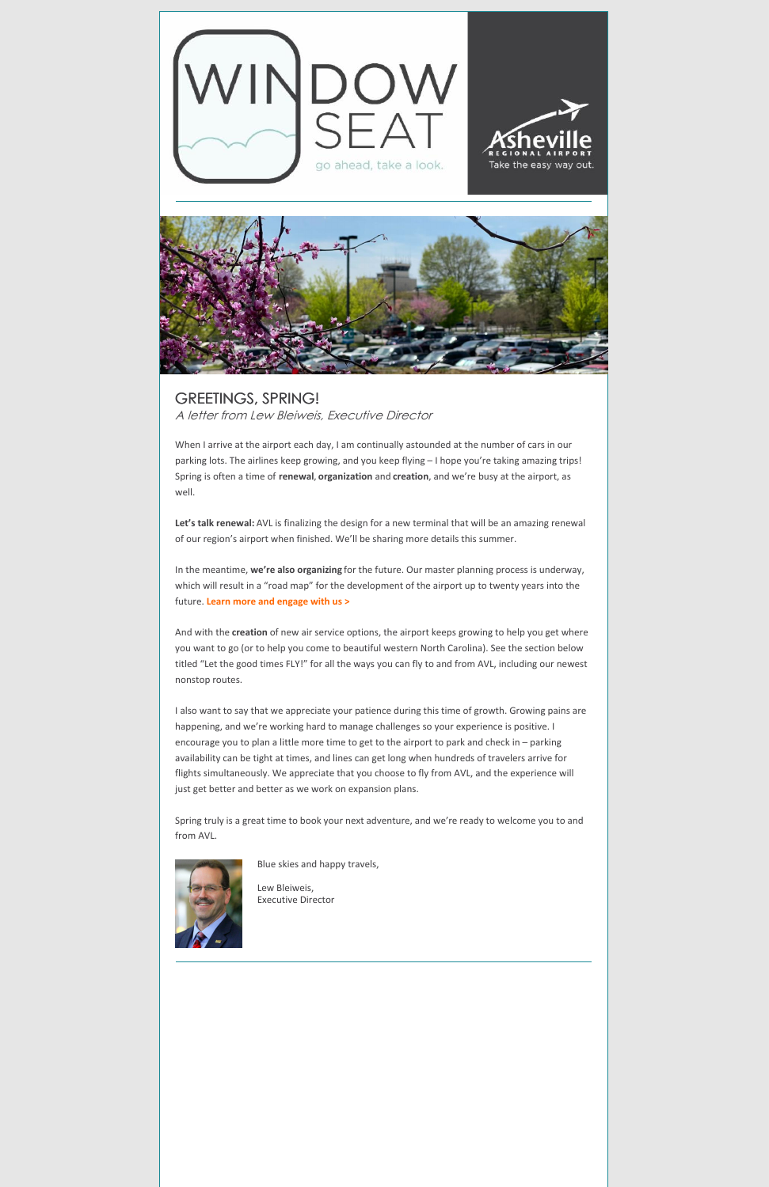



GREETINGS, SPRING! A letter from Lew Bleiweis, Executive Director

When I arrive at the airport each day, I am continually astounded at the number of cars in our parking lots. The airlines keep growing, and you keep flying – I hope you're taking amazing trips! Spring is often a time of **renewal**, **organization** and **creation**, and we're busy at the airport, as well.

**Let's talk renewal:** AVL is finalizing the design for a new terminal that will be an amazing renewal of our region's airport when finished. We'll be sharing more details this summer.

In the meantime, **we're also organizing** for the future. Our master planning process is underway, which will result in a "road map" for the development of the airport up to twenty years into the future. **Learn more and [engage](https://flyavl.com/MasterPlan) with us >**

And with the **creation** of new air service options, the airport keeps growing to help you get where you want to go (or to help you come to beautiful western North Carolina). See the section below titled "Let the good times FLY!" for all the ways you can fly to and from AVL, including our newest nonstop routes.

I also want to say that we appreciate your patience during this time of growth. Growing pains are happening, and we're working hard to manage challenges so your experience is positive. I encourage you to plan a little more time to get to the airport to park and check in – parking availability can be tight at times, and lines can get long when hundreds of travelers arrive for flights simultaneously. We appreciate that you choose to fly from AVL, and the experience will just get better and better as we work on expansion plans.

Spring truly is a great time to book your next adventure, and we're ready to welcome you to and from AVL.



Blue skies and happy travels,



Lew Bleiweis, Executive Director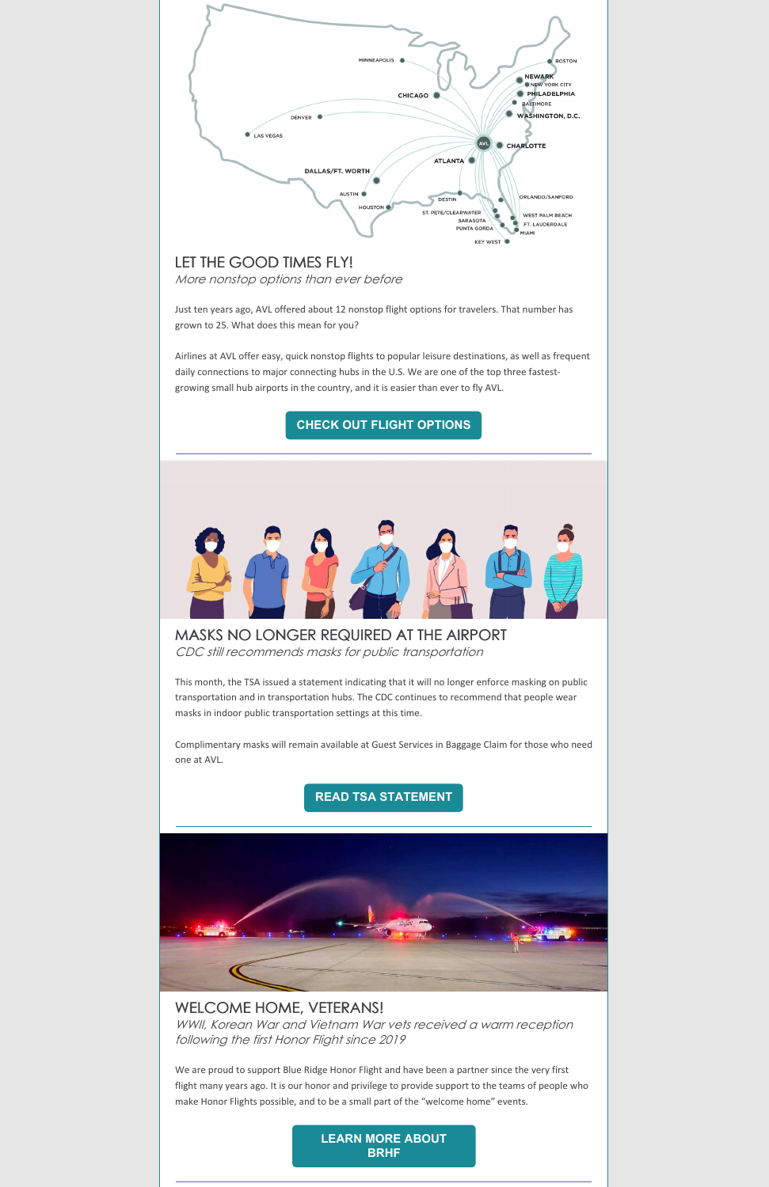

This month, the TSA issued a statement indicating that it will no longer enforce masking on public transportation and in transportation hubs. The CDC continues to recommend that people wear masks in indoor public transportation settings at this time.

Complimentary masks will remain available at Guest Services in Baggage Claim for those who need one at AVL.

**READ TSA [STATEMENT](https://www.tsa.gov/news/press/statements/2022/04/18/statement-regarding-face-mask-use-public-transportation)**



## WELCOME HOME, VETERANS!

WWII, Korean War and Vietnam War vets received <sup>a</sup> warm reception following the first Honor Flight since 2019

We are proud to support Blue Ridge Honor Flight and have been a partner since the very first flight many years ago. It is our honor and privilege to provide support to the teams of people who make Honor Flights possible, and to be a small part of the "welcome home" events.

> **LEARN MORE [ABOUT](https://www.blueridgehonorflight.com/) BRHF**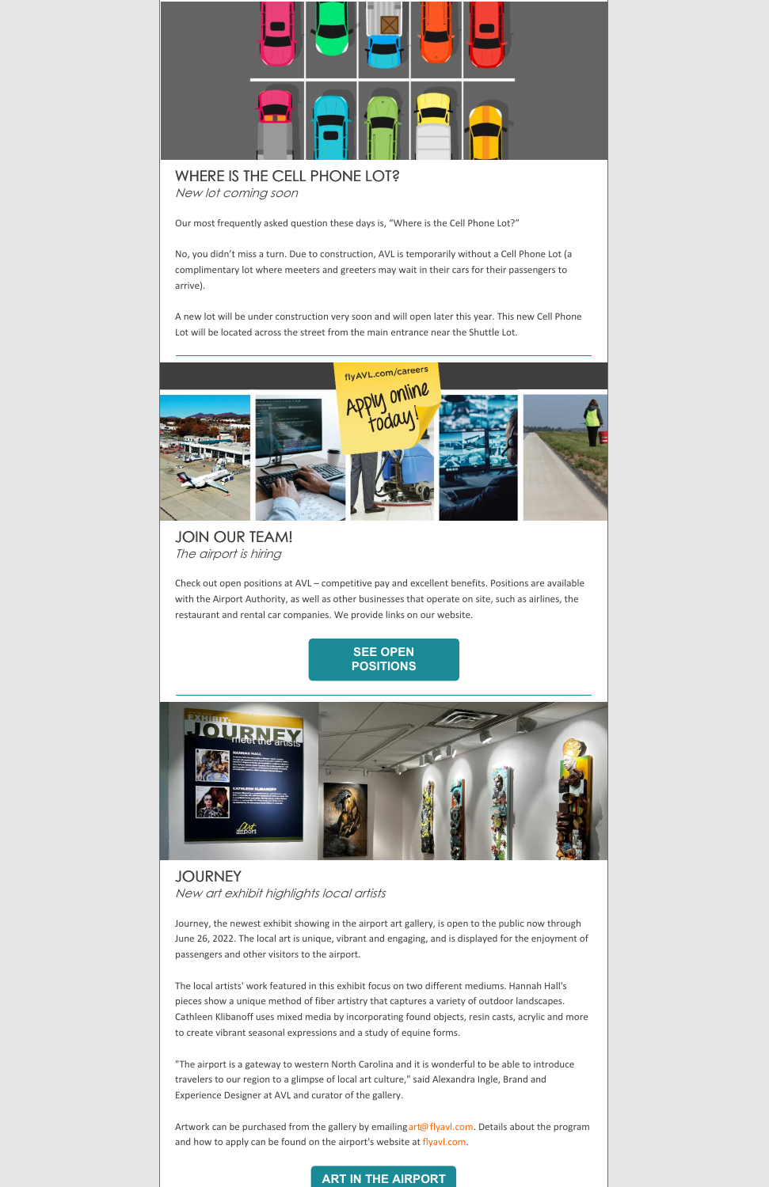

# WHERE IS THE CELL PHONE LOT?

New lot coming soon

Our most frequently asked question these days is, "Where is the Cell Phone Lot?"

No, you didn't miss a turn. Due to construction, AVL is temporarily without a Cell Phone Lot (a complimentary lot where meeters and greeters may wait in their cars for their passengers to arrive).

A new lot will be under construction very soon and will open later this year. This new Cell Phone Lot will be located across the street from the main entrance near the Shuttle Lot.



### JOIN OUR TEAM! The airport is hiring

Check out open positions at AVL – competitive pay and excellent benefits. Positions are available with the Airport Authority, as well as other businesses that operate on site, such as airlines, the restaurant and rental car companies. We provide links on our website.





#### **JOURNEY**

New art exhibit highlights local artists

Journey, the newest exhibit showing in the airport art gallery, is open to the public now through June 26, 2022. The local art is unique, vibrant and engaging, and is displayed for the enjoyment of passengers and other visitors to the airport.

The local artists' work featured in this exhibit focus on two different mediums. Hannah Hall's pieces show a unique method of fiber artistry that captures a variety of outdoor landscapes. Cathleen Klibanoff uses mixed media by incorporating found objects, resin casts, acrylic and more to create vibrant seasonal expressions and a study of equine forms.

"The airport is a gateway to western North Carolina and it is wonderful to be able to introduce travelers to our region to a glimpse of local art culture," said Alexandra Ingle, Brand and Experience Designer at AVL and curator of the gallery.

Artwork can be purchased from the gallery by emailing [art@flyavl.com](mailto:art@flyavl.com). Details about the program and how to apply can be found on the airport's website at [flyavl.com](https://flyavl.com/).

#### **ART IN THE [AIRPORT](https://flyavl.com/artintheairport)**